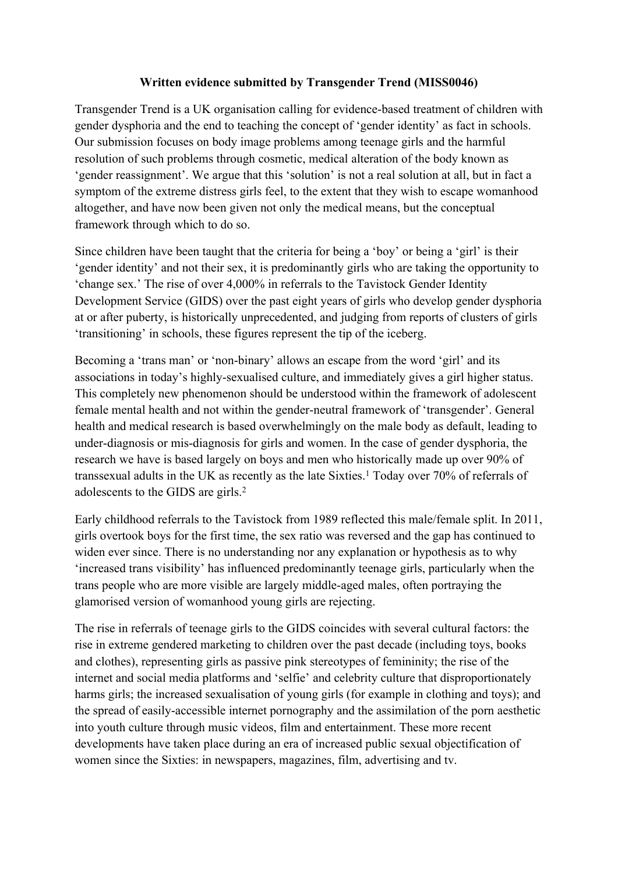# **Written evidence submitted by Transgender Trend (MISS0046)**

Transgender Trend is a UK organisation calling for evidence-based treatment of children with gender dysphoria and the end to teaching the concept of 'gender identity' as fact in schools. Our submission focuses on body image problems among teenage girls and the harmful resolution of such problems through cosmetic, medical alteration of the body known as 'gender reassignment'. We argue that this 'solution' is not a real solution at all, but in fact a symptom of the extreme distress girls feel, to the extent that they wish to escape womanhood altogether, and have now been given not only the medical means, but the conceptual framework through which to do so.

Since children have been taught that the criteria for being a 'boy' or being a 'girl' is their 'gender identity' and not their sex, it is predominantly girls who are taking the opportunity to 'change sex.' The rise of over 4,000% in referrals to the Tavistock Gender Identity Development Service (GIDS) over the past eight years of girls who develop gender dysphoria at or after puberty, is historically unprecedented, and judging from reports of clusters of girls 'transitioning' in schools, these figures represent the tip of the iceberg.

Becoming a 'trans man' or 'non-binary' allows an escape from the word 'girl' and its associations in today's highly-sexualised culture, and immediately gives a girl higher status. This completely new phenomenon should be understood within the framework of adolescent female mental health and not within the gender-neutral framework of 'transgender'. General health and medical research is based overwhelmingly on the male body as default, leading to under-diagnosis or mis-diagnosis for girls and women. In the case of gender dysphoria, the research we have is based largely on boys and men who historically made up over 90% of transsexual adults in the UK as recently as the late Sixties.<sup>1</sup> Today over 70% of referrals of adolescents to the GIDS are girls.<sup>2</sup>

Early childhood referrals to the Tavistock from 1989 reflected this male/female split. In 2011, girls overtook boys for the first time, the sex ratio was reversed and the gap has continued to widen ever since. There is no understanding nor any explanation or hypothesis as to why 'increased trans visibility' has influenced predominantly teenage girls, particularly when the trans people who are more visible are largely middle-aged males, often portraying the glamorised version of womanhood young girls are rejecting.

The rise in referrals of teenage girls to the GIDS coincides with several cultural factors: the rise in extreme gendered marketing to children over the past decade (including toys, books and clothes), representing girls as passive pink stereotypes of femininity; the rise of the internet and social media platforms and 'selfie' and celebrity culture that disproportionately harms girls; the increased sexualisation of young girls (for example in clothing and toys); and the spread of easily-accessible internet pornography and the assimilation of the porn aesthetic into youth culture through music videos, film and entertainment. These more recent developments have taken place during an era of increased public sexual objectification of women since the Sixties: in newspapers, magazines, film, advertising and tv.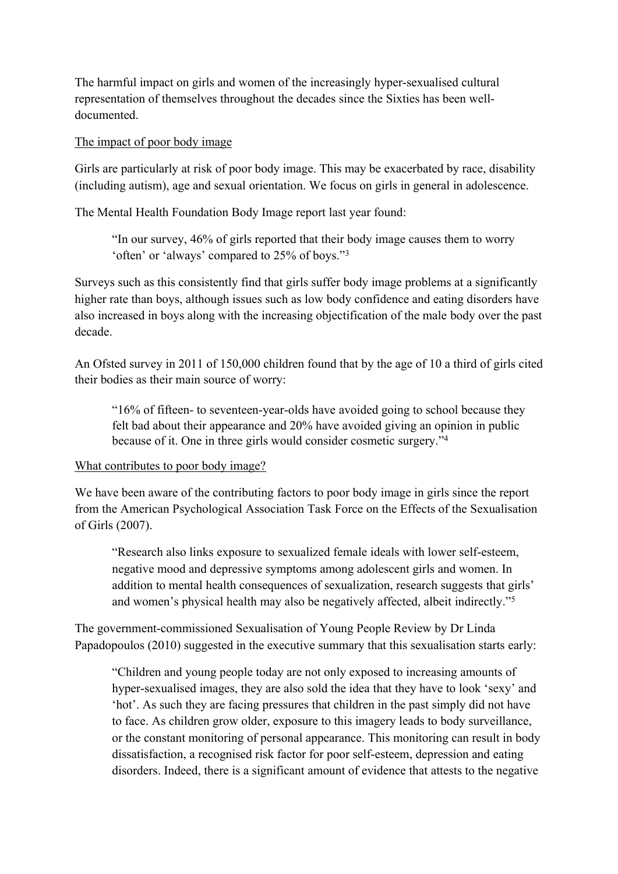The harmful impact on girls and women of the increasingly hyper-sexualised cultural representation of themselves throughout the decades since the Sixties has been welldocumented.

### The impact of poor body image

Girls are particularly at risk of poor body image. This may be exacerbated by race, disability (including autism), age and sexual orientation. We focus on girls in general in adolescence.

The Mental Health Foundation Body Image report last year found:

"In our survey, 46% of girls reported that their body image causes them to worry 'often' or 'always' compared to 25% of boys."<sup>3</sup>

Surveys such as this consistently find that girls suffer body image problems at a significantly higher rate than boys, although issues such as low body confidence and eating disorders have also increased in boys along with the increasing objectification of the male body over the past decade.

An Ofsted survey in 2011 of 150,000 children found that by the age of 10 a third of girls cited their bodies as their main source of worry:

"16% of fifteen- to seventeen-year-olds have avoided going to school because they felt bad about their appearance and 20% have avoided giving an opinion in public because of it. One in three girls would consider cosmetic surgery."<sup>4</sup>

# What contributes to poor body image?

We have been aware of the contributing factors to poor body image in girls since the report from the American Psychological Association Task Force on the Effects of the Sexualisation of Girls (2007).

"Research also links exposure to sexualized female ideals with lower self-esteem, negative mood and depressive symptoms among adolescent girls and women. In addition to mental health consequences of sexualization, research suggests that girls' and women's physical health may also be negatively affected, albeit indirectly."<sup>5</sup> 

The government-commissioned Sexualisation of Young People Review by Dr Linda Papadopoulos (2010) suggested in the executive summary that this sexualisation starts early:

"Children and young people today are not only exposed to increasing amounts of hyper-sexualised images, they are also sold the idea that they have to look 'sexy' and 'hot'. As such they are facing pressures that children in the past simply did not have to face. As children grow older, exposure to this imagery leads to body surveillance, or the constant monitoring of personal appearance. This monitoring can result in body dissatisfaction, a recognised risk factor for poor self-esteem, depression and eating disorders. Indeed, there is a significant amount of evidence that attests to the negative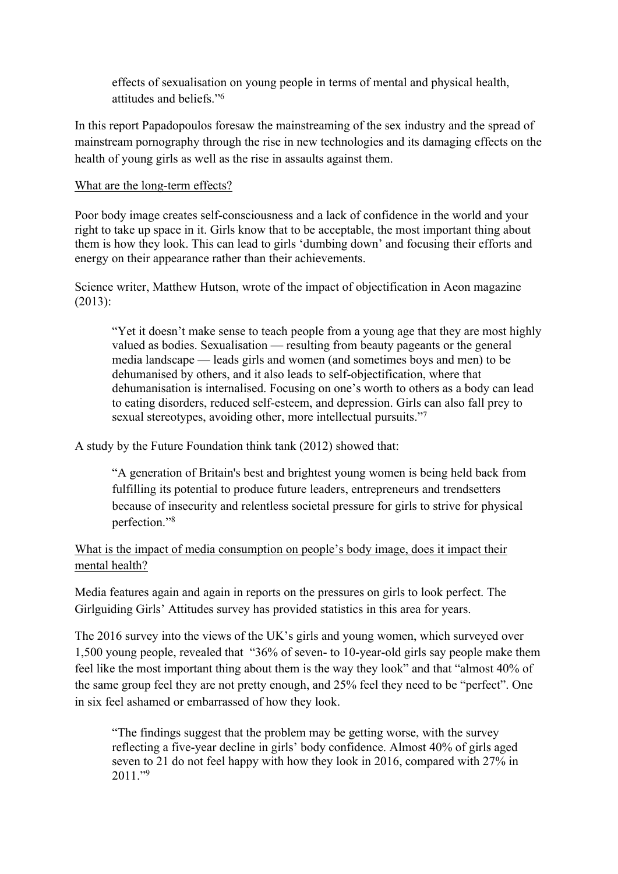effects of sexualisation on young people in terms of mental and physical health, attitudes and beliefs<sup>"6</sup>

In this report Papadopoulos foresaw the mainstreaming of the sex industry and the spread of mainstream pornography through the rise in new technologies and its damaging effects on the health of young girls as well as the rise in assaults against them.

### What are the long-term effects?

Poor body image creates self-consciousness and a lack of confidence in the world and your right to take up space in it. Girls know that to be acceptable, the most important thing about them is how they look. This can lead to girls 'dumbing down' and focusing their efforts and energy on their appearance rather than their achievements.

Science writer, Matthew Hutson, wrote of the impact of objectification in Aeon magazine (2013):

"Yet it doesn't make sense to teach people from a young age that they are most highly valued as bodies. Sexualisation — resulting from beauty pageants or the general media landscape — leads girls and women (and sometimes boys and men) to be dehumanised by others, and it also leads to self-objectification, where that dehumanisation is internalised. Focusing on one's worth to others as a body can lead to eating disorders, reduced self-esteem, and depression. Girls can also fall prey to sexual stereotypes, avoiding other, more intellectual pursuits."<sup>7</sup>

A study by the Future Foundation think tank (2012) showed that:

"A generation of Britain's best and brightest young women is being held back from fulfilling its potential to produce future leaders, entrepreneurs and trendsetters because of insecurity and relentless societal pressure for girls to strive for physical perfection<sup>"8</sup>

What is the impact of media consumption on people's body image, does it impact their mental health?

Media features again and again in reports on the pressures on girls to look perfect. The Girlguiding Girls' Attitudes survey has provided statistics in this area for years.

The 2016 survey into the views of the UK's girls and young women, which surveyed over 1,500 young people, revealed that "36% of seven- to 10-year-old girls say people make them feel like the most important thing about them is the way they look" and that "almost 40% of the same group feel they are not pretty enough, and 25% feel they need to be "perfect". One in six feel ashamed or embarrassed of how they look.

"The findings suggest that the problem may be getting worse, with the survey reflecting a five-year decline in girls' body confidence. Almost 40% of girls aged seven to 21 do not feel happy with how they look in 2016, compared with 27% in  $2011$ ."<sup>9</sup>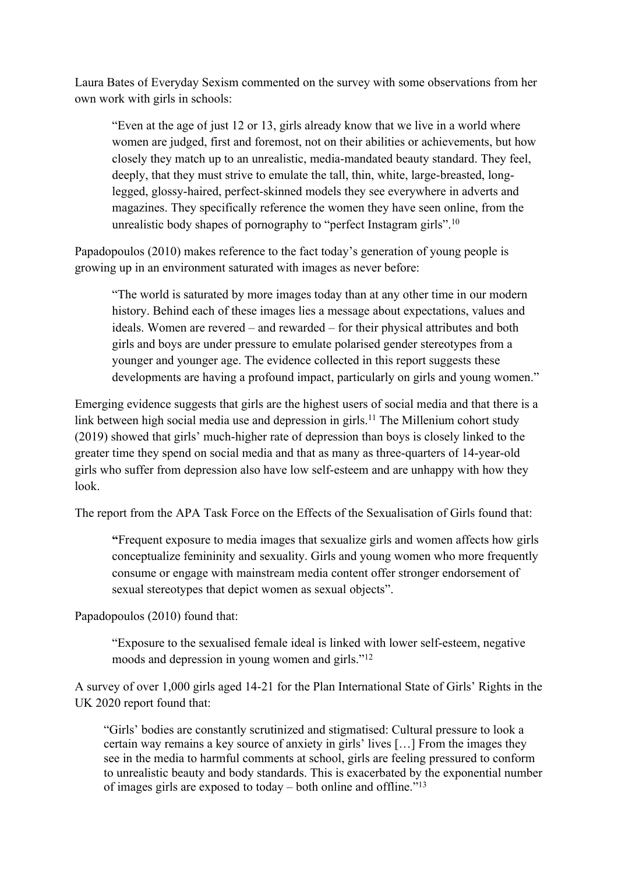Laura Bates of Everyday Sexism commented on the survey with some observations from her own work with girls in schools:

"Even at the age of just 12 or 13, girls already know that we live in a world where women are judged, first and foremost, not on their abilities or achievements, but how closely they match up to an unrealistic, media-mandated beauty standard. They feel, deeply, that they must strive to emulate the tall, thin, white, large-breasted, longlegged, glossy-haired, perfect-skinned models they see everywhere in adverts and magazines. They specifically reference the women they have seen online, from the unrealistic body shapes of pornography to "perfect Instagram girls".<sup>10</sup>

Papadopoulos (2010) makes reference to the fact today's generation of young people is growing up in an environment saturated with images as never before:

"The world is saturated by more images today than at any other time in our modern history. Behind each of these images lies a message about expectations, values and ideals. Women are revered – and rewarded – for their physical attributes and both girls and boys are under pressure to emulate polarised gender stereotypes from a younger and younger age. The evidence collected in this report suggests these developments are having a profound impact, particularly on girls and young women."

Emerging evidence suggests that girls are the highest users of social media and that there is a link between high social media use and depression in girls.<sup>11</sup> The Millenium cohort study (2019) showed that girls' much-higher rate of depression than boys is closely linked to the greater time they spend on social media and that as many as three-quarters of 14-year-old girls who suffer from depression also have low self-esteem and are unhappy with how they look.

The report from the APA Task Force on the Effects of the Sexualisation of Girls found that:

**"**Frequent exposure to media images that sexualize girls and women affects how girls conceptualize femininity and sexuality. Girls and young women who more frequently consume or engage with mainstream media content offer stronger endorsement of sexual stereotypes that depict women as sexual objects".

Papadopoulos (2010) found that:

"Exposure to the sexualised female ideal is linked with lower self-esteem, negative moods and depression in young women and girls."<sup>12</sup>

A survey of over 1,000 girls aged 14-21 for the Plan International State of Girls' Rights in the UK 2020 report found that:

"Girls' bodies are constantly scrutinized and stigmatised: Cultural pressure to look a certain way remains a key source of anxiety in girls' lives […] From the images they see in the media to harmful comments at school, girls are feeling pressured to conform to unrealistic beauty and body standards. This is exacerbated by the exponential number of images girls are exposed to today – both online and offline."<sup>13</sup>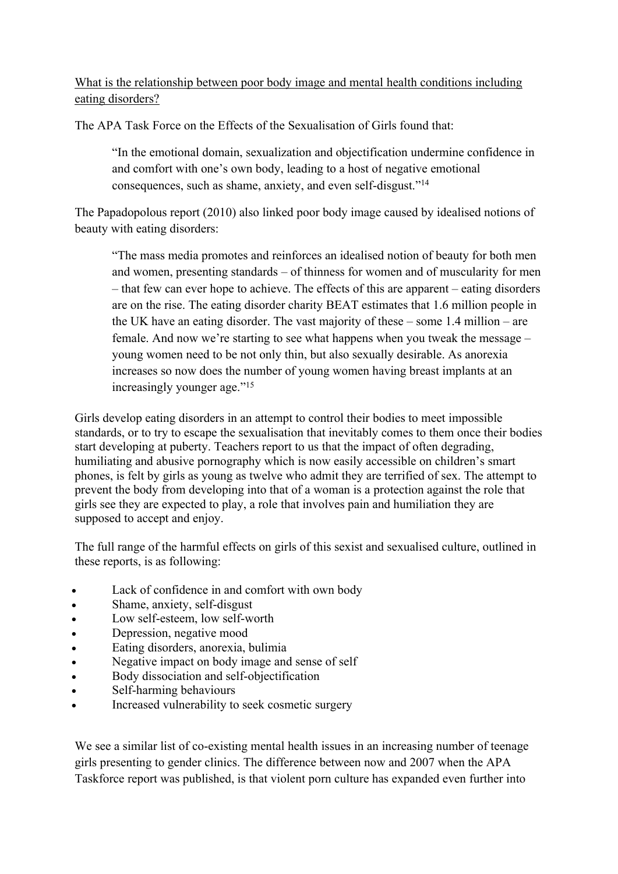What is the relationship between poor body image and mental health conditions including eating disorders?

The APA Task Force on the Effects of the Sexualisation of Girls found that:

"In the emotional domain, sexualization and objectification undermine confidence in and comfort with one's own body, leading to a host of negative emotional consequences, such as shame, anxiety, and even self-disgust."<sup>14</sup>

The Papadopolous report (2010) also linked poor body image caused by idealised notions of beauty with eating disorders:

"The mass media promotes and reinforces an idealised notion of beauty for both men and women, presenting standards – of thinness for women and of muscularity for men – that few can ever hope to achieve. The effects of this are apparent – eating disorders are on the rise. The eating disorder charity BEAT estimates that 1.6 million people in the UK have an eating disorder. The vast majority of these – some 1.4 million – are female. And now we're starting to see what happens when you tweak the message – young women need to be not only thin, but also sexually desirable. As anorexia increases so now does the number of young women having breast implants at an increasingly younger age."<sup>15</sup>

Girls develop eating disorders in an attempt to control their bodies to meet impossible standards, or to try to escape the sexualisation that inevitably comes to them once their bodies start developing at puberty. Teachers report to us that the impact of often degrading, humiliating and abusive pornography which is now easily accessible on children's smart phones, is felt by girls as young as twelve who admit they are terrified of sex. The attempt to prevent the body from developing into that of a woman is a protection against the role that girls see they are expected to play, a role that involves pain and humiliation they are supposed to accept and enjoy.

The full range of the harmful effects on girls of this sexist and sexualised culture, outlined in these reports, is as following:

- Lack of confidence in and comfort with own body
- Shame, anxiety, self-disgust
- Low self-esteem, low self-worth
- Depression, negative mood
- Eating disorders, anorexia, bulimia
- Negative impact on body image and sense of self
- Body dissociation and self-objectification
- Self-harming behaviours
- Increased vulnerability to seek cosmetic surgery

We see a similar list of co-existing mental health issues in an increasing number of teenage girls presenting to gender clinics. The difference between now and 2007 when the APA Taskforce report was published, is that violent porn culture has expanded even further into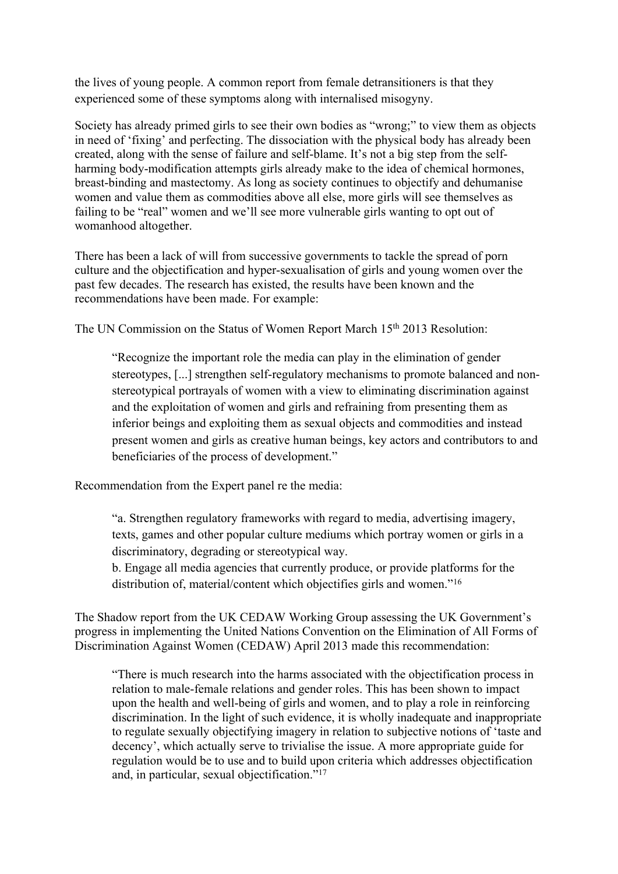the lives of young people. A common report from female detransitioners is that they experienced some of these symptoms along with internalised misogyny.

Society has already primed girls to see their own bodies as "wrong;" to view them as objects in need of 'fixing' and perfecting. The dissociation with the physical body has already been created, along with the sense of failure and self-blame. It's not a big step from the selfharming body-modification attempts girls already make to the idea of chemical hormones, breast-binding and mastectomy. As long as society continues to objectify and dehumanise women and value them as commodities above all else, more girls will see themselves as failing to be "real" women and we'll see more vulnerable girls wanting to opt out of womanhood altogether.

There has been a lack of will from successive governments to tackle the spread of porn culture and the objectification and hyper-sexualisation of girls and young women over the past few decades. The research has existed, the results have been known and the recommendations have been made. For example:

The UN Commission on the Status of Women Report March 15<sup>th</sup> 2013 Resolution:

"Recognize the important role the media can play in the elimination of gender stereotypes, [...] strengthen self-regulatory mechanisms to promote balanced and nonstereotypical portrayals of women with a view to eliminating discrimination against and the exploitation of women and girls and refraining from presenting them as inferior beings and exploiting them as sexual objects and commodities and instead present women and girls as creative human beings, key actors and contributors to and beneficiaries of the process of development."

Recommendation from the Expert panel re the media:

"a. Strengthen regulatory frameworks with regard to media, advertising imagery, texts, games and other popular culture mediums which portray women or girls in a discriminatory, degrading or stereotypical way.

b. Engage all media agencies that currently produce, or provide platforms for the distribution of, material/content which objectifies girls and women."<sup>16</sup>

The Shadow report from the UK CEDAW Working Group assessing the UK Government's progress in implementing the United Nations Convention on the Elimination of All Forms of Discrimination Against Women (CEDAW) April 2013 made this recommendation:

"There is much research into the harms associated with the objectification process in relation to male-female relations and gender roles. This has been shown to impact upon the health and well-being of girls and women, and to play a role in reinforcing discrimination. In the light of such evidence, it is wholly inadequate and inappropriate to regulate sexually objectifying imagery in relation to subjective notions of 'taste and decency', which actually serve to trivialise the issue. A more appropriate guide for regulation would be to use and to build upon criteria which addresses objectification and, in particular, sexual objectification."<sup>17</sup>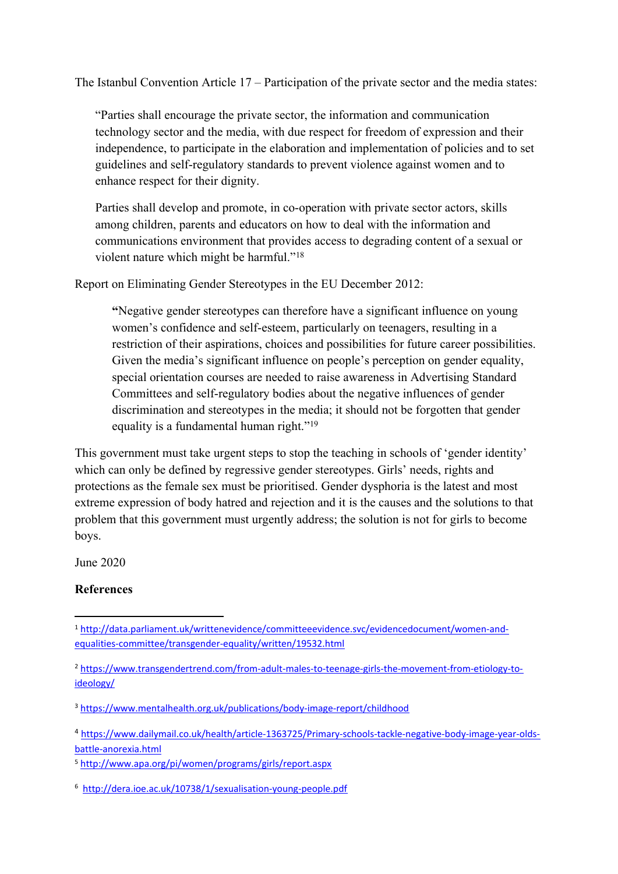The Istanbul Convention Article 17 – Participation of the private sector and the media states:

"Parties shall encourage the private sector, the information and communication technology sector and the media, with due respect for freedom of expression and their independence, to participate in the elaboration and implementation of policies and to set guidelines and self-regulatory standards to prevent violence against women and to enhance respect for their dignity.

Parties shall develop and promote, in co-operation with private sector actors, skills among children, parents and educators on how to deal with the information and communications environment that provides access to degrading content of a sexual or violent nature which might be harmful."<sup>18</sup>

Report on Eliminating Gender Stereotypes in the EU December 2012:

**"**Negative gender stereotypes can therefore have a significant influence on young women's confidence and self-esteem, particularly on teenagers, resulting in a restriction of their aspirations, choices and possibilities for future career possibilities. Given the media's significant influence on people's perception on gender equality, special orientation courses are needed to raise awareness in Advertising Standard Committees and self-regulatory bodies about the negative influences of gender discrimination and stereotypes in the media; it should not be forgotten that gender equality is a fundamental human right."<sup>19</sup>

This government must take urgent steps to stop the teaching in schools of 'gender identity' which can only be defined by regressive gender stereotypes. Girls' needs, rights and protections as the female sex must be prioritised. Gender dysphoria is the latest and most extreme expression of body hatred and rejection and it is the causes and the solutions to that problem that this government must urgently address; the solution is not for girls to become boys.

June 2020

# **References**

<sup>1</sup> [http://data.parliament.uk/writtenevidence/committeeevidence.svc/evidencedocument/women-and](http://data.parliament.uk/writtenevidence/committeeevidence.svc/evidencedocument/women-and-equalities-committee/transgender-equality/written/19532.html)[equalities-committee/transgender-equality/written/19532.html](http://data.parliament.uk/writtenevidence/committeeevidence.svc/evidencedocument/women-and-equalities-committee/transgender-equality/written/19532.html)

<sup>2</sup> [https://www.transgendertrend.com/from-adult-males-to-teenage-girls-the-movement-from-etiology-to](https://www.transgendertrend.com/from-adult-males-to-teenage-girls-the-movement-from-etiology-to-ideology/)[ideology/](https://www.transgendertrend.com/from-adult-males-to-teenage-girls-the-movement-from-etiology-to-ideology/)

<sup>3</sup> <https://www.mentalhealth.org.uk/publications/body-image-report/childhood>

<sup>4</sup> [https://www.dailymail.co.uk/health/article-1363725/Primary-schools-tackle-negative-body-image-year-olds](https://www.dailymail.co.uk/health/article-1363725/Primary-schools-tackle-negative-body-image-year-olds-battle-anorexia.html)[battle-anorexia.html](https://www.dailymail.co.uk/health/article-1363725/Primary-schools-tackle-negative-body-image-year-olds-battle-anorexia.html)

<sup>5</sup> <http://www.apa.org/pi/women/programs/girls/report.aspx>

<sup>6</sup> <http://dera.ioe.ac.uk/10738/1/sexualisation-young-people.pdf>